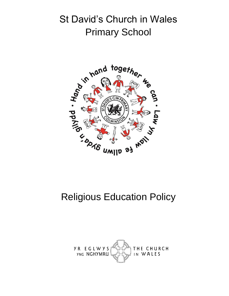# St David's Church in Wales Primary School



# Religious Education Policy

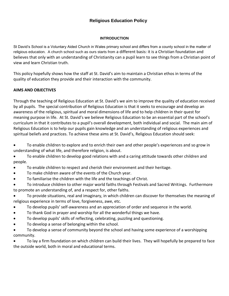# **Religious Education Policy**

#### **INTRODUCTION**

St David's School is a Voluntary Aided Church in Wales primary school and differs from a county school in the matter of religious education. A church school such as ours starts from a different basis: it is a Christian foundation and believes that only with an understanding of Christianity can a pupil learn to see things from a Christian point of view and learn Christian truth.

This policy hopefully shows how the staff at St. David's aim to maintain a Christian ethos in terms of the quality of education they provide and their interaction with the community.

## **AIMS AND OBJECTIVES**

Through the teaching of Religious Education at St. David's we aim to improve the quality of education received by all pupils. The special contribution of Religious Education is that it seeks to encourage and develop an awareness of the religious, spiritual and moral dimensions of life and to help children in their quest for meaning purpose in life. At St. David's we believe Religious Education to be an essential part of the school's curriculum in that it contributes to a pupil's overall development, both individual and social. The main aim of Religious Education is to help our pupils gain knowledge and an understanding of religious experiences and spiritual beliefs and practices. To achieve these aims at St. David's, Religious Education should seek:

 To enable children to explore and to enrich their own and other people's experiences and so grow in understanding of what life, and therefore religion, is about.

 To enable children to develop good relations with and a caring attitude towards other children and people.

- To enable children to respect and cherish their environment and their heritage.
- To make children aware of the events of the Church year.
- To familiarise the children with the life and the teachings of Christ.

 To introduce children to other major world faiths through Festivals and Sacred Writings. Furthermore to promote an understanding of, and a respect for, other faiths.

 To provide situations, real and imaginary, in which children can discover for themselves the meaning of religious experience in terms of love, forgiveness, awe, etc.

- To develop pupils' self-awareness and an appreciation of order and sequence in the world.
- To thank God in prayer and worship for all the wonderful things we have.
- To develop pupils' skills of reflecting, celebrating, puzzling and questioning.
- To develop a sense of belonging within the school.

 To develop a sense of community beyond the school and having some experience of a worshipping community.

 To lay a firm foundation on which children can build their lives. They will hopefully be prepared to face the outside world, both in moral and educational terms.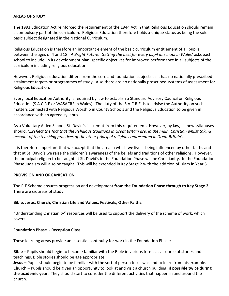#### **AREAS OF STUDY**

The 1993 Education Act reinforced the requirement of the 1944 Act in that Religious Education should remain a compulsory part of the curriculum. Religious Education therefore holds a unique status as being the sole basic subject designated in the National Curriculum.

Religious Education is therefore an important element of the basic curriculum entitlement of all pupils between the ages of 4 and 18. '*A Bright Future: Getting the best for every pupil at school in Wales'* asks each school to include, in its development plan, specific objectives for improved performance in all subjects of the curriculum including religious education.

However, Religious education differs from the core and foundation subjects as it has no nationally prescribed attainment targets or programmes of study. Also there are no nationally prescribed systems of assessment for Religious Education.

Every local Education Authority is required by law to establish a Standard Advisory Council on Religious Education (S.A.C.R.E or WASACRE in Wales). The duty of the S.A.C.R.E. is to advise the Authority on such matters connected with Religious Worship in County Schools and the Religious Education to be given in accordance with an agreed syllabus.

As a Voluntary Aided School, St. David's is exempt from this requirement. However, by law, all new syllabuses should, '…*reflect the fact that the Religious traditions in Great Britain are, in the main, Christian whilst taking account of the teaching practices of the other principal religions represented in Great Britain'.*

It is therefore important that we accept that the area in which we live is being influenced by other faiths and that at St. David's we raise the children's awareness of the beliefs and traditions of other religions. However, the principal religion to be taught at St. David's in the Foundation Phase will be Christianity. In the Foundation Phase Judaism will also be taught. This will be extended in Key Stage 2 with the addition of Islam in Year 5.

#### **PROVISION AND ORGANISATION**

The R.E Scheme ensures progression and development **from the Foundation Phase through to Key Stage 2.**  There are six areas of study**:**

## **Bible, Jesus, Church, Christian Life and Values, Festivals, Other Faiths.**

"Understanding Christianity" resources will be used to support the delivery of the scheme of work, which covers:

#### **Foundation Phase - Reception Class**

These learning areas provide an essential continuity for work in the Foundation Phase:

**Bible** – Pupils should begin to become familiar with the Bible in various forms as a source of stories and teachings. Bible stories should be age appropriate.

**Jesus –** Pupils should begin to be familiar with the sort of person Jesus was and to learn from his example. **Church** – Pupils should be given an opportunity to look at and visit a church building; **if possible twice during the academic year.** They should start to consider the different activities that happen in and around the church.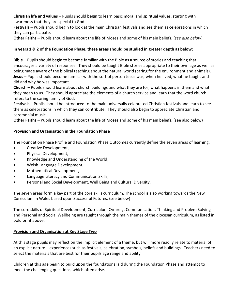**Christian life and values** – Pupils should begin to learn basic moral and spiritual values, starting with awareness that they are special to God.

**Festivals** – Pupils should begin to look at the main Christian festivals and see them as celebrations in which they can participate.

**Other Faiths** – Pupils should learn about the life of Moses and some of his main beliefs. (*see also below*).

# **In years 1 & 2 of the Foundation Phase, these areas should be studied in greater depth as below:**

**Bible** – Pupils should begin to become familiar with the Bible as a source of stories and teaching that encourages a variety of responses. They should be taught Bible stories appropriate to their own age as well as being made aware of the biblical teaching about the natural world (caring for the environment and animals). **Jesus** – Pupils should become familiar with the sort of person Jesus was, when he lived, what he taught and did and why he was important.

**Church** – Pupils should learn about church buildings and what they are for; what happens in them and what they mean to us. They should appreciate the elements of a church service and learn that the word church refers to the caring family of God.

**Festivals** – Pupils should be introduced to the main universally celebrated Christian festivals and learn to see them as celebrations in which they can contribute. They should also begin to appreciate Christian and ceremonial music.

**Other Faiths** – Pupils should learn about the life of Moses and some of his main beliefs. (see also below)

# **Provision and Organisation in the Foundation Phase**

The Foundation Phase Profile and Foundation Phase Outcomes currently define the seven areas of learning:

- Creative Development,
- Physical Development,
- Knowledge and Understanding of the World,
- Welsh Language Development,
- Mathematical Development,
- Language Literacy and Communication Skills,
- Personal and Social Development, Well Being and Cultural Diversity.

The seven areas form a key part of the core skills curriculum. The school is also working towards the New Curriculum in Wales based upon Successful Futures. (see below)

The core skills of Spiritual Development, Curriculum Cymreig, Communication, Thinking and Problem Solving and Personal and Social Wellbeing are taught through the main themes of the diocesan curriculum, as listed in bold print above.

## **Provision and Organisation at Key Stage Two**

At this stage pupils may reflect on the implicit element of a theme, but will more readily relate to material of an explicit nature – experiences such as festivals, celebration, symbols, beliefs and buildings. Teachers need to select the materials that are best for their pupils age range and ability.

Children at this age begin to build upon the foundations laid during the Foundation Phase and attempt to meet the challenging questions, which often arise.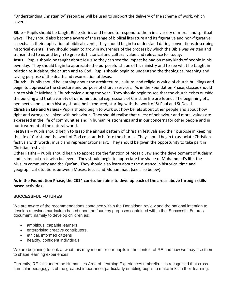"Understanding Christianity" resources will be used to support the delivery of the scheme of work, which covers:

**Bible** – Pupils should be taught Bible stories and helped to respond to them in a variety of moral and spiritual ways. They should also become aware of the range of biblical literature and its figurative and non-figurative aspects. In their application of biblical events, they should begin to understand dating conventions describing historical events. They should begin to grow in awareness of the process by which the Bible was written and transmitted to us and begin to grasp its historical and cultural value and relevance for today.

**Jesus** – Pupils should be taught about Jesus so they can see the impact he had on many kinds of people in his own day. They should begin to appreciate the purposeful shape of his ministry and to see what he taught in relation to Judaism, the church and to God. Pupils should begin to understand the theological meaning and saving purpose of the death and resurrection of Jesus.

**Church** – Pupils should be learning about the architectural, cultural and religious value of church buildings and begin to appreciate the structure and purpose of church services. As in the Foundation Phase, classes should aim to visit St Michael's Church twice during the year. They should begin to see that the church exists outside the building and that a variety of denominational expressions of Christian life are found. The beginning of a perspective on church history should be introduced, starting with the work of St Paul and St David. **Christian Life and Values -** Pupils should begin to work out how beliefs about other people and about how

right and wrong are linked with behaviour. They should realise that rules; of behaviour and moral values are expressed in the life of communities and in human relationships and in our concerns for other people and in our treatment of the natural world.

**Festivals** – Pupils should begin to grasp the annual pattern of Christian festivals and their purpose in keeping the life of Christ and the work of God constantly before the church. They should begin to associate Christian festivals with words, music and representational art. They should be given the opportunity to take part in Christian festivals.

**Other Faiths** – Pupils should begin to appreciate the function of Mosaic Law and the development of Judaism and its impact on Jewish believers. They should begin to appreciate the shape of Muhammad's life, the Muslim community and the Qur'an. They should also learn about the distance in historical time and geographical situations between Moses, Jesus and Muhammad. (see also below).

# **As in the Foundation Phase, the 2014 curriculum aims to develop each of the areas above through skills based activities.**

# **SUCCESSFUL FUTURES**

We are aware of the recommendations contained within the Donaldson review and the national intention to develop a revised curriculum based upon the four key purposes contained within the 'Successful Futures' document, namely to develop children as:

- ambitious, capable learners,
- enterprising creative contributors,
- ethical, informed citizens
- healthy, confident individuals.

We are beginning to look at what this may mean for our pupils in the context of RE and how we may use them to shape learning experiences.

Currently, RE falls under the Humanities Area of Learning Experiences umbrella. It is recognised that crosscurricular pedagogy is of the greatest importance, particularly enabling pupils to make links in their learning.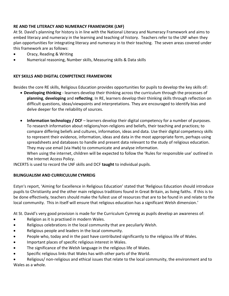# **RE AND THE LITERACY AND NUMERACY FRAMEWORK (LNF)**

At St. David's planning for history is in line with the National Literacy and Numeracy Framework and aims to embed literacy and numeracy in the learning and teaching of history. Teachers refer to the LNF when they plan opportunities for integrating literacy and numeracy in to their teaching. The seven areas covered under this framework are as follows:

- Oracy, Reading & Writing
- Numerical reasoning, Number skills, Measuring skills & Data skills

## **KEY SKILLS AND DIGITAL COMPETENCE FRAMEWORK**

Besides the core RE skills, Religious Education provides opportunities for pupils to develop the key skills of:

- **Developing thinking** learners develop their thinking across the curriculum through the processes of **planning**, **developing** and **reflecting**. In RE, learners develop their thinking skills through reflection on difficult questions, ideas/viewpoints and interpretations. They are encouraged to identify bias and delve deeper for the reliability of sources.
- **Information technology / DCF** learners develop their digital competency for a number of purposes. To research information about religions/non-religions and beliefs, their teaching and practices; to compare differing beliefs and cultures, information, ideas and data. Use their digital competency skills to represent their evidence, information, ideas and data in the most appropriate form, perhaps using spreadsheets and databases to handle and present data relevant to the study of religious education. They may use email (via Hwb) to communicate and analyse information.

When using the internet, children will be expected to follow the 'Rules for responsible use' outlined in the Internet Access Policy.

INCERTS is used to record the LNF skills and DCF **taught** to individual pupils.

## **BILINGUALISM AND CURRICULUM CYMREIG**

Estyn's report, 'Aiming for Excellence in Religious Education' stated that 'Religious Education should introduce pupils to Christianity and the other main religious traditions found in Great Britain, as living faiths. If this is to be done effectively, teachers should make the fullest use of resources that are to be found in and relate to the local community. This in itself will ensure that religious education has a significant Welsh dimension.'

At St. David's very good provision is made for the Curriculum Cymreig as pupils develop an awareness of:

- Religion as it is practised in modern Wales.
- Religious celebrations in the local community that are peculiarly Welsh.
- Religious people and leaders in the local community.
- People who, today and in the past have contributed significantly to the religious life of Wales.
- Important places of specific religious interest in Wales.
- The significance of the Welsh language in the religious life of Wales.
- Specific religious links that Wales has with other parts of the World.
- Religious/ non-religious and ethical issues that relate to the local community, the environment and to Wales as a whole.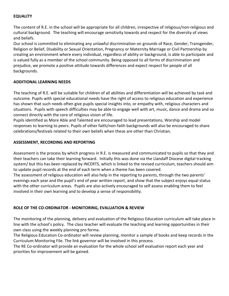# **EQUALITY**

The content of R.E. in the school will be appropriate for all children, irrespective of religious/non-religious and cultural background. The teaching will encourage sensitivity towards and respect for the diversity of views and beliefs.

Our school is committed to eliminating any unlawful discrimination on grounds of Race, Gender, Transgender, Religion or Belief, Disability or Sexual Orientation, Pregnancy or Maternity Marriage or Civil Partnership by creating an environment where every individual, regardless of ability or background, is able to participate and is valued fully as a member of the school community. Being opposed to all forms of discrimination and prejudice, we promote a positive attitude towards differences and expect respect for people of all backgrounds.

## **ADDITIONAL LEARNING NEEDS**

The teaching of R.E. will be suitable for children of all abilities and differentiation will be achieved by task and outcome. Pupils with special educational needs have the right of access to religious education and experience has shown that such needs often give pupils special insights into, or empathy with, religious characters and situations. Pupils with speech difficulties may be able to engage well with art, music, dance and drama and so connect directly with the core of religious vision of life.

Pupils identified as More Able and Talented are encouraged to lead presentations, Worship and model responses to learning to peers. Pupils of other faith/non-faith backgrounds will also be encouraged to share celebrations/festivals related to their own beliefs when these are other than Christian.

## **ASSESSMENT, RECORDING AND REPORTING**

Assessment is the process by which progress in R.E. is measured and communicated to pupils so that they and their teachers can take their learning forward. Initially this was done via the Llandaff Diocese digital tracking system/ but this has been replaced by INCERTS, which is linked to the revised curriculum, teachers should aim to update pupil records at the end of each term when a theme has been covered.

The assessment of religious education will also help in the reporting to parents, through the two parents' evenings each year and the pupil's end of year written report, and show that the subject enjoys equal status with the other curriculum areas. Pupils are also actively encouraged to self assess enabling them to feel involved in their own learning and to develop a sense of responsibility.

## **ROLE OF THE CO-ORDINATOR - MONITORING, EVALUATION & REVIEW**

The monitoring of the planning, delivery and evaluation of the Religious Education curriculum will take place in line with the school's policy. The class teacher will evaluate the teaching and learning opportunities in their own class using the weekly planning pro forma.

The Religious Education Co-ordinator will review planning, monitor a sample of books and keep records in the Curriculum Monitoring File. The link governor will be involved in this process.

The RE Co-ordinator will provide an evaluation for the whole school self evaluation report each year and priorities for improvement will be gained.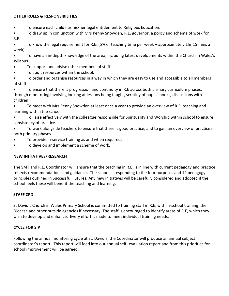#### **OTHER ROLES & RESPONSIBILITIES**

- To ensure each child has his/her legal entitlement to Religious Education.
- To draw up in conjunction with Mrs Penny Snowden, R.E. governor, a policy and scheme of work for R.E.
- To know the legal requirement for R.E. (5% of teaching time per week approximately 1hr 15 mins a week).
- To have an in-depth knowledge of the area, including latest developments within the Church in Wales's syllabus.
- To support and advise other members of staff.
- To audit resources within the school.
- To order and organise resources in a way in which they are easy to use and accessible to all members of staff.
- To ensure that there is progression and continuity in R.E across both primary curriculum phases, through monitoring involving looking at lessons being taught, scrutiny of pupils' books, discussions with children.
- To meet with Mrs Penny Snowden at least once a year to provide an overview of R.E. teaching and learning within the school.
- To liaise effectively with the colleague responsible for Spirituality and Worship within school to ensure consistency of practice.
- To work alongside teachers to ensure that there is good practice, and to gain an overview of practice in both primary phases.
- To provide in-service training as and when required.
- To develop and implement a scheme of work.

## **NEW INITIATIVES/RESEARCH**

The SMT and R.E. Coordinator will ensure that the teaching in R.E. is in line with current pedagogy and practice reflects recommendations and guidance. The school is responding to the four purposes and 12 pedagogy principles outlined in Successful Futures. Any new initiatives will be carefully considered and adopted if the school feels these will benefit the teaching and learning.

## **STAFF CPD**

St David's Church in Wales Primary School is committed to training staff in R.E. with in-school training, the Diocese and other outside agencies if necessary. The staff is encouraged to identify areas of R.E, which they wish to develop and enhance. Every effort is made to meet individual training needs.

#### **CYCLE FOR SIP**

Following the annual monitoring cycle at St. David's, the Coordinator will produce an annual subject coordinator's report. This report will feed into our annual self- evaluation report and from this priorities for school improvement will be agreed.